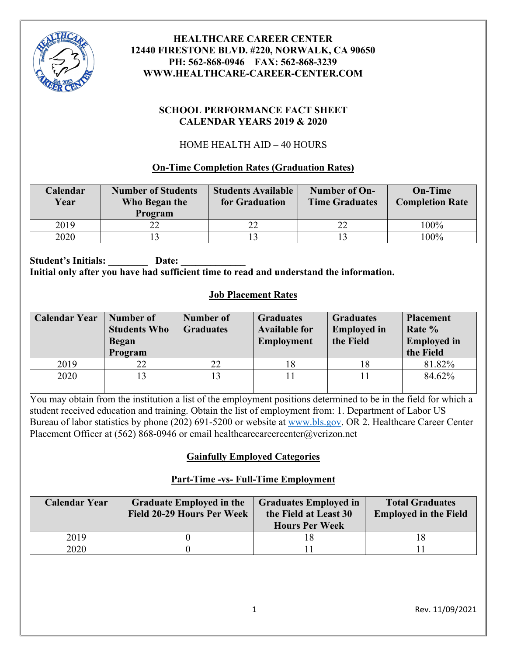

#### **SCHOOL PERFORMANCE FACT SHEET CALENDAR YEARS 2019 & 2020**

# HOME HEALTH AID – 40 HOURS

# **On-Time Completion Rates (Graduation Rates)**

| Calendar<br>Year | <b>Number of Students</b><br>Who Began the<br>Program | <b>Students Available</b><br>for Graduation | Number of On-<br><b>Time Graduates</b> | <b>On-Time</b><br><b>Completion Rate</b> |
|------------------|-------------------------------------------------------|---------------------------------------------|----------------------------------------|------------------------------------------|
| 2019             |                                                       |                                             | 22                                     | 100%                                     |
| 2020             |                                                       |                                             |                                        | $100\%$                                  |

Student's Initials: Date: **Initial only after you have had sufficient time to read and understand the information.**

# **Job Placement Rates**

| <b>Calendar Year</b> | Number of<br><b>Students Who</b><br><b>Began</b><br>Program | Number of<br><b>Graduates</b> | <b>Graduates</b><br><b>Available for</b><br><b>Employment</b> | <b>Graduates</b><br><b>Employed</b> in<br>the Field | <b>Placement</b><br>Rate %<br><b>Employed</b> in<br>the Field |
|----------------------|-------------------------------------------------------------|-------------------------------|---------------------------------------------------------------|-----------------------------------------------------|---------------------------------------------------------------|
| 2019                 | 22                                                          | 22                            |                                                               | 18                                                  | 81.82%                                                        |
| 2020                 |                                                             |                               |                                                               |                                                     | 84.62%                                                        |

You may obtain from the institution a list of the employment positions determined to be in the field for which a student received education and training. Obtain the list of employment from: 1. Department of Labor US Bureau of labor statistics by phone (202) 691-5200 or website at [www.bls.gov.](http://www.bls.gov/) OR 2. Healthcare Career Center Placement Officer at (562) 868-0946 or email healthcarecareercenter@verizon.net

# **Gainfully Employed Categories**

# **Part-Time -vs- Full-Time Employment**

| <b>Calendar Year</b> | <b>Graduate Employed in the</b><br>Field 20-29 Hours Per Week | <b>Graduates Employed in</b><br>the Field at Least 30<br><b>Hours Per Week</b> | <b>Total Graduates</b><br><b>Employed in the Field</b> |  |
|----------------------|---------------------------------------------------------------|--------------------------------------------------------------------------------|--------------------------------------------------------|--|
| 2019                 |                                                               |                                                                                |                                                        |  |
| 2020                 |                                                               |                                                                                |                                                        |  |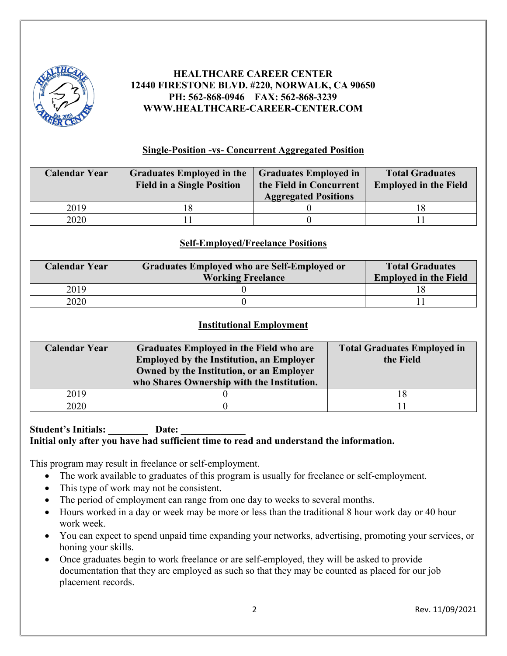

#### **Single-Position -vs- Concurrent Aggregated Position**

| <b>Calendar Year</b> | <b>Graduates Employed in the</b><br><b>Field in a Single Position</b> | <b>Graduates Employed in</b><br>the Field in Concurrent<br><b>Aggregated Positions</b> | <b>Total Graduates</b><br><b>Employed in the Field</b> |
|----------------------|-----------------------------------------------------------------------|----------------------------------------------------------------------------------------|--------------------------------------------------------|
| 2019                 |                                                                       |                                                                                        |                                                        |
| 2020                 |                                                                       |                                                                                        |                                                        |

#### **Self-Employed/Freelance Positions**

| <b>Calendar Year</b> | Graduates Employed who are Self-Employed or | <b>Total Graduates</b>       |  |
|----------------------|---------------------------------------------|------------------------------|--|
|                      | <b>Working Freelance</b>                    | <b>Employed in the Field</b> |  |
| 2019                 |                                             |                              |  |
| 2020                 |                                             |                              |  |

#### **Institutional Employment**

| <b>Calendar Year</b> | Graduates Employed in the Field who are<br><b>Employed by the Institution, an Employer</b><br>Owned by the Institution, or an Employer<br>who Shares Ownership with the Institution. | <b>Total Graduates Employed in</b><br>the Field |
|----------------------|--------------------------------------------------------------------------------------------------------------------------------------------------------------------------------------|-------------------------------------------------|
| 2019                 |                                                                                                                                                                                      |                                                 |
| 2020                 |                                                                                                                                                                                      |                                                 |

#### Student's Initials: **Date: Initial only after you have had sufficient time to read and understand the information.**

This program may result in freelance or self-employment.

- The work available to graduates of this program is usually for freelance or self-employment.
- This type of work may not be consistent.
- The period of employment can range from one day to weeks to several months.
- Hours worked in a day or week may be more or less than the traditional 8 hour work day or 40 hour work week.
- You can expect to spend unpaid time expanding your networks, advertising, promoting your services, or honing your skills.
- Once graduates begin to work freelance or are self-employed, they will be asked to provide documentation that they are employed as such so that they may be counted as placed for our job placement records.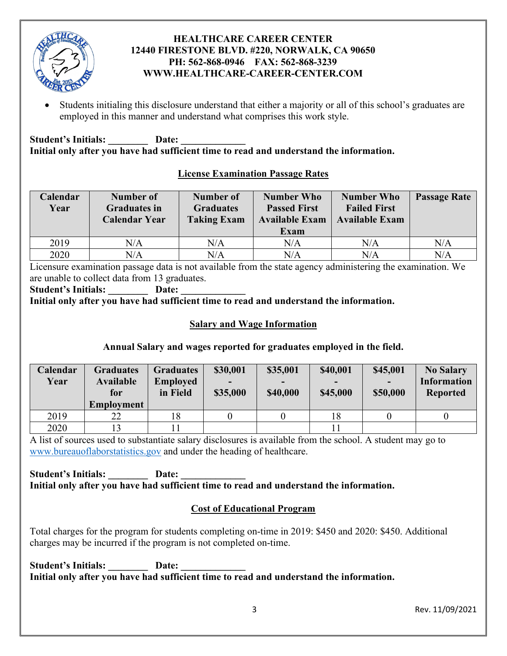

• Students initialing this disclosure understand that either a majority or all of this school's graduates are employed in this manner and understand what comprises this work style.

Student's Initials: \_\_\_\_\_\_\_\_\_\_\_ Date: **Initial only after you have had sufficient time to read and understand the information.** 

# **License Examination Passage Rates**

| Calendar<br>Year | Number of<br><b>Graduates in</b><br><b>Calendar Year</b> | Number of<br><b>Graduates</b><br><b>Taking Exam</b> | <b>Number Who</b><br><b>Passed First</b><br><b>Available Exam</b><br>Exam | <b>Number Who</b><br><b>Failed First</b><br><b>Available Exam</b> | <b>Passage Rate</b> |
|------------------|----------------------------------------------------------|-----------------------------------------------------|---------------------------------------------------------------------------|-------------------------------------------------------------------|---------------------|
| 2019             | N/A                                                      | N/A                                                 | N/A                                                                       | N/A                                                               | N/A                 |
| 2020             | N/A                                                      | N/A                                                 | $\rm N/A$                                                                 | N/A                                                               | N/A                 |

Licensure examination passage data is not available from the state agency administering the examination. We are unable to collect data from 13 graduates.

Student's Initials: Date:

**Initial only after you have had sufficient time to read and understand the information.** 

## **Salary and Wage Information**

# **Annual Salary and wages reported for graduates employed in the field.**

| Calendar<br>Year | <b>Graduates</b><br>Available<br>for<br><b>Employment</b> | <b>Graduates</b><br><b>Employed</b><br>in Field | \$30,001<br>$\overline{\phantom{0}}$<br>\$35,000 | \$35,001<br>$\overline{\phantom{0}}$<br>\$40,000 | \$40,001<br>$\overline{\phantom{0}}$<br>\$45,000 | \$45,001<br>\$50,000 | <b>No Salary</b><br><b>Information</b><br><b>Reported</b> |
|------------------|-----------------------------------------------------------|-------------------------------------------------|--------------------------------------------------|--------------------------------------------------|--------------------------------------------------|----------------------|-----------------------------------------------------------|
| 2019             | 22                                                        | 18                                              |                                                  |                                                  | 18                                               |                      |                                                           |
| 2020             | 13                                                        |                                                 |                                                  |                                                  |                                                  |                      |                                                           |

A list of sources used to substantiate salary disclosures is available from the school. A student may go to [www.bureauoflaborstatistics.gov](http://www.bureauoflaborstatistics.gov/) and under the heading of healthcare.

#### Student's Initials: Date: **Initial only after you have had sufficient time to read and understand the information.**

# **Cost of Educational Program**

Total charges for the program for students completing on-time in 2019: \$450 and 2020: \$450. Additional charges may be incurred if the program is not completed on-time.

Student's Initials: Date: **Initial only after you have had sufficient time to read and understand the information.**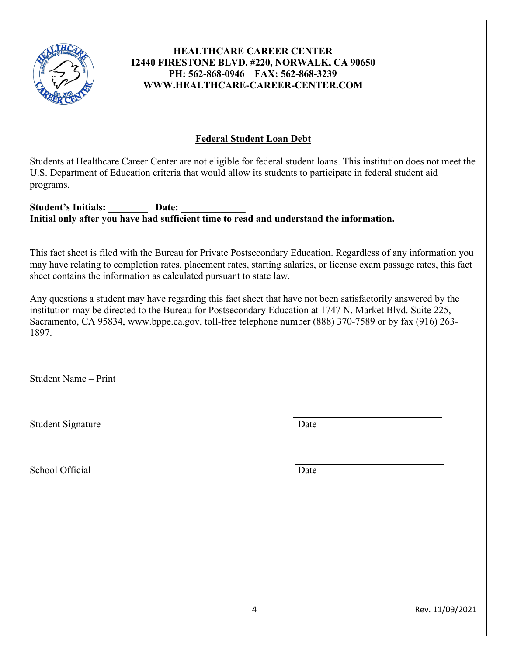

# **Federal Student Loan Debt**

Students at Healthcare Career Center are not eligible for federal student loans. This institution does not meet the U.S. Department of Education criteria that would allow its students to participate in federal student aid programs.

Student's Initials: Date: **Initial only after you have had sufficient time to read and understand the information.** 

This fact sheet is filed with the Bureau for Private Postsecondary Education. Regardless of any information you may have relating to completion rates, placement rates, starting salaries, or license exam passage rates, this fact sheet contains the information as calculated pursuant to state law.

Any questions a student may have regarding this fact sheet that have not been satisfactorily answered by the institution may be directed to the Bureau for Postsecondary Education at 1747 N. Market Blvd. Suite 225, Sacramento, CA 95834, [www.bppe.ca.gov,](http://www.bppe.ca.gov/) toll-free telephone number (888) 370-7589 or by fax (916) 263- 1897.

Student Name – Print

Student Signature Date

School Official Date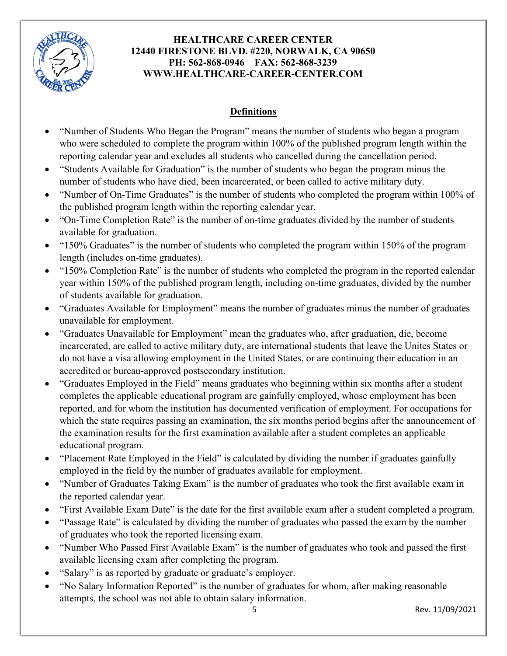

# **Definitions**

- "Number of Students Who Began the Program" means the number of students who began a program who were scheduled to complete the program within 100% of the published program length within the reporting calendar year and excludes all students who cancelled during the cancellation period.
- "Students Available for Graduation" is the number of students who began the program minus the number of students who have died, been incarcerated, or been called to active military duty.
- "Number of On-Time Graduates" is the number of students who completed the program within 100% of the published program length within the reporting calendar year.
- "On-Time Completion Rate" is the number of on-time graduates divided by the number of students available for graduation.
- "150% Graduates" is the number of students who completed the program within 150% of the program length (includes on-time graduates).
- "150% Completion Rate" is the number of students who completed the program in the reported calendar year within 150% of the published program length, including on-time graduates, divided by the number of students available for graduation.
- "Graduates Available for Employment" means the number of graduates minus the number of graduates unavailable for employment.
- "Graduates Unavailable for Employment" mean the graduates who, after graduation, die, become incarcerated, are called to active military duty, are international students that leave the Unites States or do not have a visa allowing employment in the United States, or are continuing their education in an accredited or bureau-approved postsecondary institution.
- "Graduates Employed in the Field" means graduates who beginning within six months after a student completes the applicable educational program are gainfully employed, whose employment has been reported, and for whom the institution has documented verification of employment. For occupations for which the state requires passing an examination, the six months period begins after the announcement of the examination results for the first examination available after a student completes an applicable educational program.
- "Placement Rate Employed in the Field" is calculated by dividing the number if graduates gainfully employed in the field by the number of graduates available for employment.
- "Number of Graduates Taking Exam" is the number of graduates who took the first available exam in the reported calendar year.
- "First Available Exam Date" is the date for the first available exam after a student completed a program.
- "Passage Rate" is calculated by dividing the number of graduates who passed the exam by the number of graduates who took the reported licensing exam.
- "Number Who Passed First Available Exam" is the number of graduates who took and passed the first available licensing exam after completing the program.
- "Salary" is as reported by graduate or graduate's employer.
- "No Salary Information Reported" is the number of graduates for whom, after making reasonable attempts, the school was not able to obtain salary information.